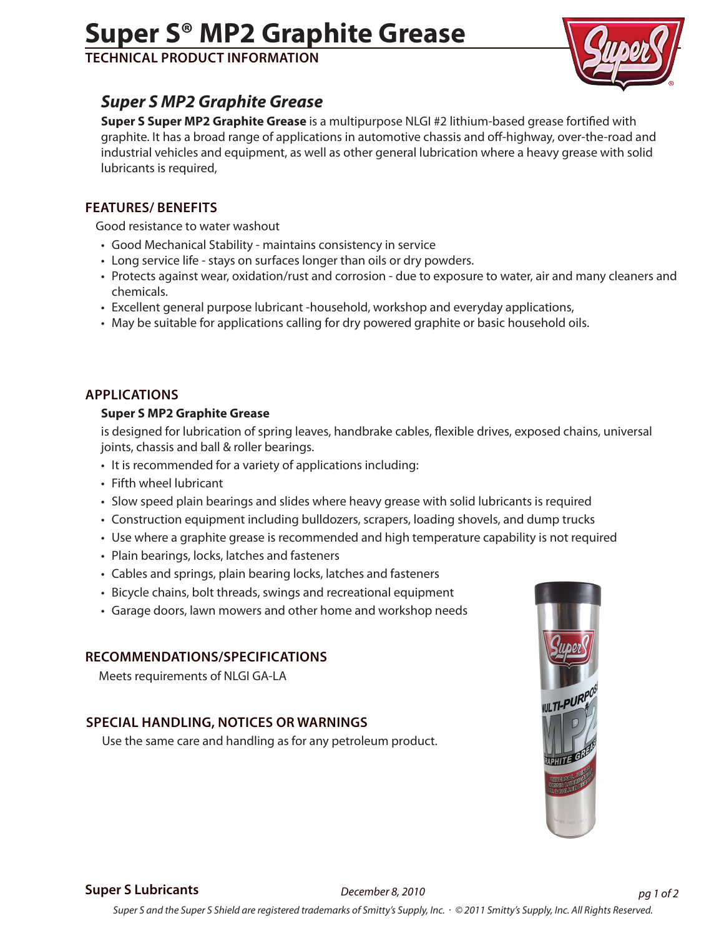# **Super S® MP2 Graphite Grease**

**Technical Product Information**



# *Super S MP2 Graphite Grease*

**Super S Super MP2 Graphite Grease** is a multipurpose NLGI #2 lithium-based grease fortified with graphite. It has a broad range of applications in automotive chassis and off-highway, over-the-road and industrial vehicles and equipment, as well as other general lubrication where a heavy grease with solid lubricants is required,

## **features/ benefits**

Good resistance to water washout

- Good Mechanical Stability maintains consistency in service
- Long service life stays on surfaces longer than oils or dry powders.
- Protects against wear, oxidation/rust and corrosion due to exposure to water, air and many cleaners and chemicals.
- Excellent general purpose lubricant -household, workshop and everyday applications,
- May be suitable for applications calling for dry powered graphite or basic household oils.

## **applications**

#### **Super S MP2 Graphite Grease**

is designed for lubrication of spring leaves, handbrake cables, flexible drives, exposed chains, universal joints, chassis and ball & roller bearings.

- It is recommended for a variety of applications including:
- Fifth wheel lubricant
- Slow speed plain bearings and slides where heavy grease with solid lubricants is required
- Construction equipment including bulldozers, scrapers, loading shovels, and dump trucks
- Use where a graphite grease is recommended and high temperature capability is not required
- Plain bearings, locks, latches and fasteners
- Cables and springs, plain bearing locks, latches and fasteners
- Bicycle chains, bolt threads, swings and recreational equipment
- Garage doors, lawn mowers and other home and workshop needs

#### **recommendations/SPECIFICATIONS**

Meets requirements of NLGI GA-LA

# **special handling, notices or warnings**

Use the same care and handling as for any petroleum product.